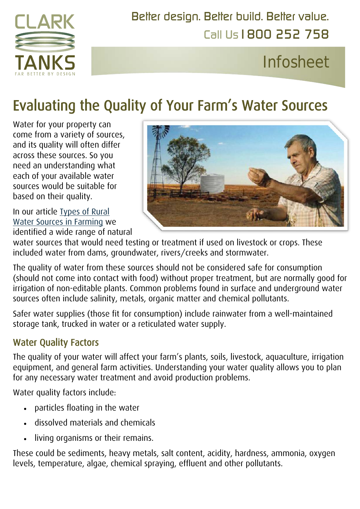

Call Us1800 252 758 [Better design. Better build. Better](http://www.clarktanks.com.au/) value.

## Infosheet

# Evaluating the Quality of Your Farm's Water Sources

Water for your property can come from a variety of sources, and its quality will often differ across these sources. So you need an understanding what each of your available water sources would be suitable for based on their quality.

In our article [Types of Rural](https://www.clarktanks.com.au/knowledge-base/types-of-rural-water-sources-in-farming/)  [Water Sources in](https://www.clarktanks.com.au/knowledge-base/types-of-rural-water-sources-in-farming/) Farming we identified a wide range of natural



water sources that would need testing or treatment if used on livestock or crops. These included water from dams, groundwater, rivers/creeks and stormwater.

The quality of water from these sources should not be considered safe for consumption (should not come into contact with food) without proper treatment, but are normally good for irrigation of non-editable plants. Common problems found in surface and underground water sources often include salinity, metals, organic matter and chemical pollutants.

Safer water supplies (those fit for consumption) include rainwater from a well-maintained storage tank, trucked in water or a reticulated water supply.

#### Water Quality Factors

The quality of your water will affect your farm's plants, soils, livestock, aquaculture, irrigation equipment, and general farm activities. Understanding your water quality allows you to plan for any necessary water treatment and avoid production problems.

Water quality factors include:

- particles floating in the water
- dissolved materials and chemicals
- living organisms or their remains.

These could be sediments, heavy metals, salt content, acidity, hardness, ammonia, oxygen levels, temperature, algae, chemical spraying, effluent and other pollutants.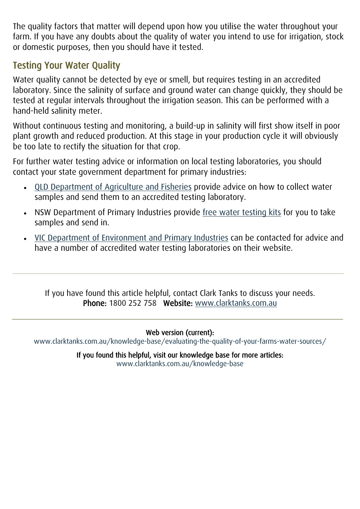The quality factors that matter will depend upon how you utilise the water throughout your farm. If you have any doubts about the quality of water you intend to use for irrigation, stock or domestic purposes, then you should have it tested.

#### Testing Your Water Quality

Water quality cannot be detected by eye or smell, but requires testing in an accredited laboratory. Since the salinity of surface and ground water can change quickly, they should be tested at regular intervals throughout the irrigation season. This can be performed with a hand-held salinity meter.

Without continuous testing and monitoring, a build-up in salinity will first show itself in poor plant growth and reduced production. At this stage in your production cycle it will obviously be too late to rectify the situation for that crop.

For further water testing advice or information on local testing laboratories, you should contact your state government department for primary industries:

- [QLD Department of Agriculture and Fisheries](https://www.daf.qld.gov.au/plants/fruit-and-vegetables/farm-management/water-quality-sampling) provide advice on how to collect water samples and send them to an accredited testing laboratory.
- NSW Department of Primary Industries provide [free water testing kits](http://www.dpi.nsw.gov.au/aboutus/services/das/water) for you to take samples and send in.
- [VIC Department of Environment and Primary Industries](http://www.depi.vic.gov.au/agriculture-and-food/farm-management/soil-and-water/water/farm-water-solutions/how-much-water-do-i-need/water-quality-testing-contacts) can be contacted for advice and have a number of accredited water testing laboratories on their website.

If you have found this article helpful, contact Clark Tanks to discuss your needs. Phone: 1800 252 758 Website: [www.clarktanks.com.au](http://www.clarktanks.com.au/)

Web version (current):

[www.clarktanks.com.au/knowledge-base/evaluating-the-quality-of-your-farms-water-sources/](https://www.clarktanks.com.au/knowledge-base/evaluating-the-quality-of-your-farms-water-sources/) 

If you found this helpful, visit our knowledge base for more articles: [www.clarktanks.com.au/knowledge-base](http://www.clarktanks.com.au/knowledge-base)